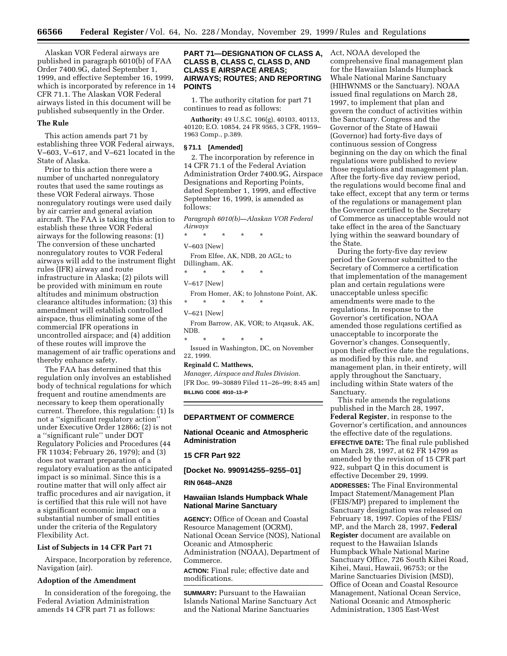Alaskan VOR Federal airways are published in paragraph 6010(b) of FAA Order 7400.9G, dated September 1, 1999, and effective September 16, 1999, which is incorporated by reference in 14 CFR 71.1. The Alaskan VOR Federal airways listed in this document will be published subsequently in the Order.

#### **The Rule**

This action amends part 71 by establishing three VOR Federal airways, V–603, V–617, and V–621 located in the State of Alaska.

Prior to this action there were a number of uncharted nonregulatory routes that used the same routings as these VOR Federal airways. Those nonregulatory routings were used daily by air carrier and general aviation aircraft. The FAA is taking this action to establish these three VOR Federal airways for the following reasons: (1) The conversion of these uncharted nonregulatory routes to VOR Federal airways will add to the instrument flight rules (IFR) airway and route infrastructure in Alaska; (2) pilots will be provided with minimum en route altitudes and minimum obstruction clearance altitudes information; (3) this amendment will establish controlled airspace, thus eliminating some of the commercial IFR operations in uncontrolled airspace; and (4) addition of these routes will improve the management of air traffic operations and thereby enhance safety.

The FAA has determined that this regulation only involves an established body of technical regulations for which frequent and routine amendments are necessary to keep them operationally current. Therefore, this regulation: (1) Is not a ''significant regulatory action'' under Executive Order 12866; (2) is not a ''significant rule'' under DOT Regulatory Policies and Procedures (44 FR 11034; February 26, 1979); and (3) does not warrant preparation of a regulatory evaluation as the anticipated impact is so minimal. Since this is a routine matter that will only affect air traffic procedures and air navigation, it is certified that this rule will not have a significant economic impact on a substantial number of small entities under the criteria of the Regulatory Flexibility Act.

#### **List of Subjects in 14 CFR Part 71**

Airspace, Incorporation by reference, Navigation (air).

#### **Adoption of the Amendment**

In consideration of the foregoing, the Federal Aviation Administration amends 14 CFR part 71 as follows:

## **PART 71—DESIGNATION OF CLASS A, CLASS B, CLASS C, CLASS D, AND CLASS E AIRSPACE AREAS; AIRWAYS; ROUTES; AND REPORTING POINTS**

1. The authority citation for part 71 continues to read as follows:

**Authority:** 49 U.S.C. 106(g), 40103, 40113, 40120; E.O. 10854, 24 FR 9565, 3 CFR, 1959– 1963 Comp., p.389.

#### **§ 71.1 [Amended]**

2. The incorporation by reference in 14 CFR 71.1 of the Federal Aviation Administration Order 7400.9G, Airspace Designations and Reporting Points, dated September 1, 1999, and effective September 16, 1999, is amended as follows:

*Paragraph 6010(b)—Alaskan VOR Federal Airways*

\* \* \* \* \*

V–603 [New]

From Elfee, AK, NDB, 20 AGL; to Dillingham, AK.

\* \* \* \* \* V–617 [New]

From Homer, AK; to Johnstone Point, AK. \* \* \* \* \*

V–621 [New]

From Barrow, AK, VOR; to Atqasuk, AK, NDB.

\* \* \* \* \* Issued in Washington, DC, on November 22, 1999.

#### **Reginald C. Matthews,**

*Manager, Airspace and Rules Division.* [FR Doc. 99–30889 Filed 11–26–99; 8:45 am] **BILLING CODE 4910–13–P**

#### **DEPARTMENT OF COMMERCE**

### **National Oceanic and Atmospheric Administration**

### **15 CFR Part 922**

**[Docket No. 990914255–9255–01]**

#### **RIN 0648–AN28**

### **Hawaiian Islands Humpback Whale National Marine Sanctuary**

**AGENCY:** Office of Ocean and Coastal Resource Management (OCRM), National Ocean Service (NOS), National Oceanic and Atmospheric Administration (NOAA), Department of Commerce.

**ACTION:** Final rule; effective date and modifications.

**SUMMARY:** Pursuant to the Hawaiian Islands National Marine Sanctuary Act and the National Marine Sanctuaries

Act, NOAA developed the comprehensive final management plan for the Hawaiian Islands Humpback Whale National Marine Sanctuary (HIHWNMS or the Sanctuary). NOAA issued final regulations on March 28, 1997, to implement that plan and govern the conduct of activities within the Sanctuary. Congress and the Governor of the State of Hawaii (Governor) had forty-five days of continuous session of Congress beginning on the day on which the final regulations were published to review those regulations and management plan. After the forty-five day review period, the regulations would become final and take effect, except that any term or terms of the regulations or management plan the Governor certified to the Secretary of Commerce as unacceptable would not take effect in the area of the Sanctuary lying within the seaward boundary of the State.

During the forty-five day review period the Governor submitted to the Secretary of Commerce a certification that implementation of the management plan and certain regulations were unacceptable unless specific amendments were made to the regulations. In response to the Governor's certification, NOAA amended those regulations certified as unacceptable to incorporate the Governor's changes. Consequently, upon their effective date the regulations, as modified by this rule, and management plan, in their entirety, will apply throughout the Sanctuary, including within State waters of the Sanctuary.

This rule amends the regulations published in the March 28, 1997, **Federal Register**, in response to the Governor's certification, and announces the effective date of the regulations.

**EFFECTIVE DATE:** The final rule published on March 28, 1997, at 62 FR 14799 as amended by the revision of 15 CFR part 922, subpart Q in this document is effective December 29, 1999.

**ADDRESSES:** The Final Environmental Impact Statement/Management Plan (FEIS/MP) prepared to implement the Sanctuary designation was released on February 18, 1997. Copies of the FEIS/ MP, and the March 28, 1997, **Federal Register** document are available on request to the Hawaiian Islands Humpback Whale National Marine Sanctuary Office, 726 South Kihei Road, Kihei, Maui, Hawaii, 96753; or the Marine Sanctuaries Division (MSD), Office of Ocean and Coastal Resource Management, National Ocean Service, National Oceanic and Atmospheric Administration, 1305 East-West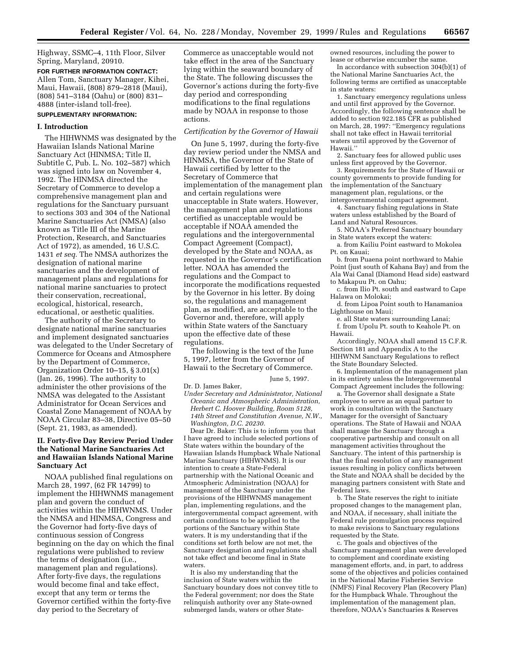Highway, SSMC–4, 11th Floor, Silver Spring, Maryland, 20910.

**FOR FURTHER INFORMATION CONTACT:** Allen Tom, Sanctuary Manager, Kihei, Maui, Hawaii, (808) 879–2818 (Maui), (808) 541–3184 (Oahu) or (800) 831– 4888 (inter-island toll-free).

# **SUPPLEMENTARY INFORMATION:**

### **I. Introduction**

The HIHWNMS was designated by the Hawaiian Islands National Marine Sanctuary Act (HINMSA; Title II, Subtitle C, Pub. L. No. 102–587) which was signed into law on November 4, 1992. The HINMSA directed the Secretary of Commerce to develop a comprehensive management plan and regulations for the Sanctuary pursuant to sections 303 and 304 of the National Marine Sanctuaries Act (NMSA) (also known as Title III of the Marine Protection, Research, and Sanctuaries Act of 1972), as amended, 16 U.S.C. 1431 *et seq.* The NMSA authorizes the designation of national marine sanctuaries and the development of management plans and regulations for national marine sanctuaries to protect their conservation, recreational, ecological, historical, research, educational, or aesthetic qualities.

The authority of the Secretary to designate national marine sanctuaries and implement designated sanctuaries was delegated to the Under Secretary of Commerce for Oceans and Atmosphere by the Department of Commerce, Organization Order 10–15, § 3.01(x) (Jan. 26, 1996). The authority to administer the other provisions of the NMSA was delegated to the Assistant Administrator for Ocean Services and Coastal Zone Management of NOAA by NOAA Circular 83–38, Directive 05–50 (Sept. 21, 1983, as amended).

## **II. Forty-five Day Review Period Under the National Marine Sanctuaries Act and Hawaiian Islands National Marine Sanctuary Act**

NOAA published final regulations on March 28, 1997, (62 FR 14799) to implement the HIHWNMS management plan and govern the conduct of activities within the HIHWNMS. Under the NMSA and HINMSA, Congress and the Governor had forty-five days of continuous session of Congress beginning on the day on which the final regulations were published to review the terms of designation (i.e., management plan and regulations). After forty-five days, the regulations would become final and take effect, except that any term or terms the Governor certified within the forty-five day period to the Secretary of

Commerce as unacceptable would not take effect in the area of the Sanctuary lying within the seaward boundary of the State. The following discusses the Governor's actions during the forty-five day period and corresponding modifications to the final regulations made by NOAA in response to those actions.

### *Certification by the Governor of Hawaii*

On June 5, 1997, during the forty-five day review period under the NMSA and HINMSA, the Governor of the State of Hawaii certified by letter to the Secretary of Commerce that implementation of the management plan and certain regulations were unacceptable in State waters. However, the management plan and regulations certified as unacceptable would be acceptable if NOAA amended the regulations and the intergovernmental Compact Agreement (Compact), developed by the State and NOAA, as requested in the Governor's certification letter. NOAA has amended the regulations and the Compact to incorporate the modifications requested by the Governor in his letter. By doing so, the regulations and management plan, as modified, are acceptable to the Governor and, therefore, will apply within State waters of the Sanctuary upon the effective date of these regulations.

The following is the text of the June 5, 1997, letter from the Governor of Hawaii to the Secretary of Commerce.

June 5, 1997.

Dr. D. James Baker,

*Under Secretary and Administrator, National Oceanic and Atmospheric Administration, Herbert C. Hoover Building, Room 5128, 14th Street and Constitution Avenue, N.W., Washington, D.C. 20230.*

Dear Dr. Baker: This is to inform you that I have agreed to include selected portions of State waters within the boundary of the Hawaiian Islands Humpback Whale National Marine Sanctuary (HIHWNMS). It is our intention to create a State-Federal partnership with the National Oceanic and Atmospheric Administration (NOAA) for management of the Sanctuary under the provisions of the HIHWNMS management plan, implementing regulations, and the intergovernmental compact agreement, with certain conditions to be applied to the portions of the Sanctuary within State waters. It is my understanding that if the conditions set forth below are not met, the Sanctuary designation and regulations shall not take effect and become final in State waters.

It is also my understanding that the inclusion of State waters within the Sanctuary boundary does not convey title to the Federal government; nor does the State relinquish authority over any State-owned submerged lands, waters or other Stateowned resources, including the power to lease or otherwise encumber the same.

In accordance with subsection 304(b)(1) of the National Marine Sanctuaries Act, the following terms are certified as unacceptable in state waters:

1. Sanctuary emergency regulations unless and until first approved by the Governor. Accordingly, the following sentence shall be added to section 922.185 CFR as published on March, 28, 1997: ''Emergency regulations shall not take effect in Hawaii territorial waters until approved by the Governor of Hawaii.''

2. Sanctuary fees for allowed public uses unless first approved by the Governor.

3. Requirements for the State of Hawaii or county governments to provide funding for the implementation of the Sanctuary management plan, regulations, or the intergovernmental compact agreement.

4. Sanctuary fishing regulations in State waters unless established by the Board of Land and Natural Resources.

5. NOAA's Preferred Sanctuary boundary in State waters except the waters:

a. from Kailiu Point eastward to Mokolea Pt. on Kauai;

b. from Puaena point northward to Mahie Point (just south of Kahana Bay) and from the Ala Wai Canal (Diamond Head side) eastward to Makapuu Pt. on Oahu;

c. from Ilio Pt. south and eastward to Cape Halawa on Molokai;

d. from Lipoa Point south to Hanamanioa Lighthouse on Maui;

e. all State waters surrounding Lanai; f. from Upolu Pt. south to Keahole Pt. on Hawaii.

Accordingly, NOAA shall amend 15 C.F.R. Section 181 and Appendix A to the HIHWNM Sanctuary Regulations to reflect the State Boundary Selected.

6. Implementation of the management plan in its entirety unless the Intergovernmental Compact Agreement includes the following:

a. The Governor shall designate a State employee to serve as an equal partner to work in consultation with the Sanctuary Manager for the oversight of Sanctuary operations. The State of Hawaii and NOAA shall manage the Sanctuary through a cooperative partnership and consult on all management activities throughout the Sanctuary. The intent of this partnership is that the final resolution of any management issues resulting in policy conflicts between the State and NOAA shall be decided by the managing partners consistent with State and Federal laws.

b. The State reserves the right to initiate proposed changes to the management plan, and NOAA, if necessary, shall initiate the Federal rule promulgation process required to make revisions to Sanctuary regulations requested by the State.

c. The goals and objectives of the Sanctuary management plan were developed to complement and coordinate existing management efforts, and, in part, to address some of the objectives and policies contained in the National Marine Fisheries Service (NMFS) Final Recovery Plan (Recovery Plan) for the Humpback Whale. Throughout the implementation of the management plan, therefore, NOAA's Sanctuaries & Reserves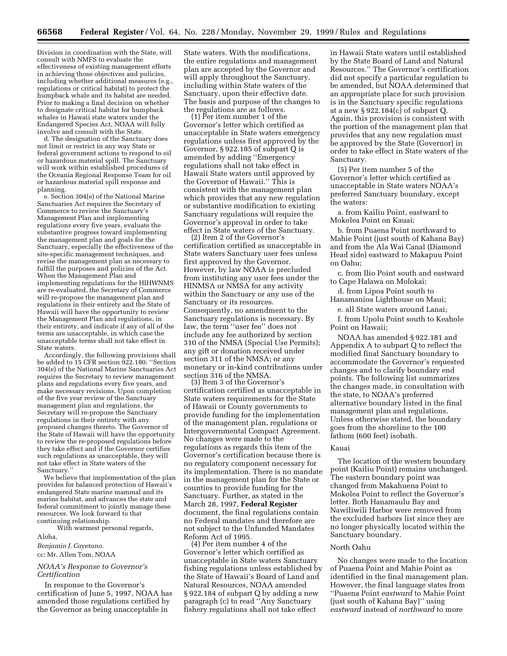Division in coordination with the State, will consult with NMFS to evaluate the effectiveness of existing management efforts in achieving those objectives and policies, including whether additional measures (e.g., regulations or critical habitat) to protect the humpback whale and its habitat are needed. Prior to making a final decision on whether to designate critical habitat for humpback whales in Hawaii state waters under the Endangered Species Act, NOAA will fully involve and consult with the State.

d. The designation of the Sanctuary does not limit or restrict in any way State or federal government actions to respond to oil or hazardous material spill. The Sanctuary will work within established procedures of the Oceania Regional Response Team for oil or hazardous material spill response and planning.

e. Section 304(e) of the National Marine Sanctuaries Act requires the Secretary of Commerce to review the Sanctuary's Management Plan and implementing regulations every five years, evaluate the substantive progress toward implementing the management plan and goals for the Sanctuary, especially the effectiveness of the site-specific management techniques, and revise the management plan as necessary to fulfill the purposes and policies of the Act. When the Management Plan and implementing regulations for the HIHWNMS are re-evaluated, the Secretary of Commerce will re-propose the management plan and regulations in their entirety and the State of Hawaii will have the opportunity to review the Management Plan and regulations, in their entirety, and indicate if any of all of the terms are unacceptable, in which case the unacceptable terms shall not take effect in State waters.

Accordingly, the following provisions shall be added to 15 CFR section 922.180: ''Section 304(e) of the National Marine Sanctuaries Act requires the Secretary to review management plans and regulations every five years, and make necessary revisions. Upon completion of the five year review of the Sanctuary management plan and regulations, the Secretary will re-propose the Sanctuary regulations in their entirety with any proposed changes thereto. The Governor of the State of Hawaii will have the opportunity to review the re-proposed regulations before they take effect and if the Governor certifies such regulations as unacceptable, they will not take effect in State waters of the Sanctuary.''

We believe that implementation of the plan provides for balanced protection of Hawaii's endangered State marine mammal and its marine habitat, and advances the state and federal commitment to jointly manage these resources. We look forward to that continuing relationship.

With warmest personal regards,

#### Aloha,

*Benjamin J. Cayetano.* cc: Mr. Allen Tom, NOAA

### *NOAA's Response to Governor's Certification*

In response to the Governor's certification of June 5, 1997, NOAA has amended those regulations certified by the Governor as being unacceptable in

State waters. With the modifications, the entire regulations and management plan are accepted by the Governor and will apply throughout the Sanctuary, including within State waters of the Sanctuary, upon their effective date. The basis and purpose of the changes to the regulations are as follows. (1) Per item number 1 of the

Governor's letter which certified as unacceptable in State waters emergency regulations unless first approved by the Governor, § 922.185 of subpart Q is amended by adding ''Emergency regulations shall not take effect in Hawaii State waters until approved by the Governor of Hawaii.'' This is consistent with the management plan which provides that any new regulation or substantive modification to existing Sanctuary regulations will require the Governor's approval in order to take effect in State waters of the Sanctuary. (2) Item 2 of the Governor's

certification certified as unacceptable in State waters Sanctuary user fees unless first approved by the Governor. However, by law NOAA is precluded from instituting any user fees under the HINMSA or NMSA for any activity within the Sanctuary or any use of the Sanctuary or its resources. Consequently, no amendment to the Sanctuary regulations is necessary. By law, the term ''user fee'' does not include any fee authorized by section 310 of the NMSA (Special Use Permits); any gift or donation received under section 311 of the NMSA; or any monetary or in-kind contributions under section 316 of the NMSA.

(3) Item 3 of the Governor's certification certified as unacceptable in State waters requirements for the State of Hawaii or County governments to provide funding for the implementation of the management plan, regulations or Intergovernmental Compact Agreement. No changes were made to the regulations as regards this item of the Governor's certification because there is no regulatory component necessary for its implementation. There is no mandate in the management plan for the State or counties to provide funding for the Sanctuary. Further, as stated in the March 28, 1997, **Federal Register** document, the final regulations contain no Federal mandates and therefore are not subject to the Unfunded Mandates Reform Act of 1995.

(4) Per item number 4 of the Governor's letter which certified as unacceptable in State waters Sanctuary fishing regulations unless established by the State of Hawaii's Board of Land and Natural Resources, NOAA amended § 922.184 of subpart Q by adding a new paragraph (c) to read ''Any Sanctuary fishery regulations shall not take effect

in Hawaii State waters until established by the State Board of Land and Natural Resources.'' The Governor's certification did not specify a particular regulation to be amended, but NOAA determined that an appropriate place for such provision is in the Sanctuary specific regulations at a new § 922.184(c) of subpart Q. Again, this provision is consistent with the portion of the management plan that provides that any new regulation must be approved by the State (Governor) in order to take effect in State waters of the Sanctuary.

(5) Per item number 5 of the Governor's letter which certified as unacceptable in State waters NOAA's preferred Sanctuary boundary, except the waters:

a. from Kailiu Point, eastward to Mokolea Point on Kauai;

b. from Puaena Point northward to Mahie Point (just south of Kahana Bay) and from the Ala Wai Canal (Diamond Head side) eastward to Makapuu Point on Oahu;

c. from Ilio Point south and eastward to Cape Halawa on Molokai;

d. from Lipoa Point south to Hanamanioa Lighthouse on Maui;

e. all State waters around Lanai;

f. from Upolu Point south to Keahole Point on Hawaii;

NOAA has amended § 922.181 and Appendix A to subpart Q to reflect the modified final Sanctuary boundary to accommodate the Governor's requested changes and to clarify boundary end points. The following list summarizes the changes made, in consultation with the state, to NOAA's preferred alternative boundary listed in the final management plan and regulations. Unless otherwise stated, the boundary goes from the shoreline to the 100 fathom (600 feet) isobath.

#### Kauai

The location of the western boundary point (Kailiu Point) remains unchanged. The eastern boundary point was changed from Makahuena Point to Mokolea Point to reflect the Governor's letter. Both Hanamaulu Bay and Nawiliwili Harbor were removed from the excluded harbors list since they are no longer physically located within the Sanctuary boundary.

### North Oahu

No changes were made to the location of Puaena Point and Mahie Point as identified in the final management plan. However, the final language states from ''Puaena Point *eastward* to Mahie Point (just south of Kahana Bay)'' using *eastward* instead of *northward* to more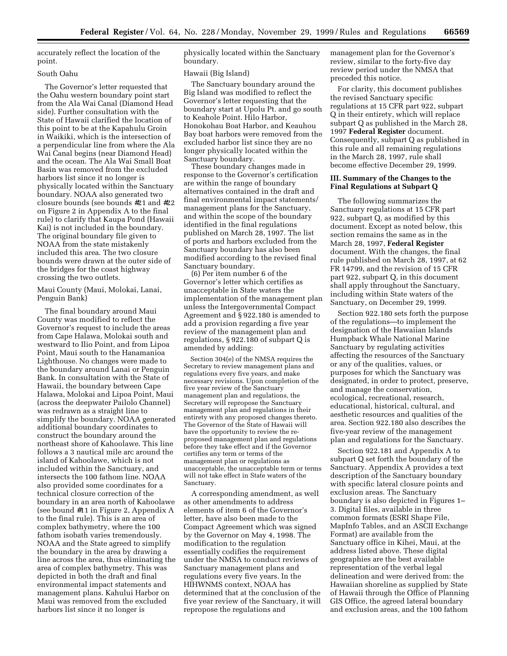accurately reflect the location of the point.

### South Oahu

The Governor's letter requested that the Oahu western boundary point start from the Ala Wai Canal (Diamond Head side). Further consultation with the State of Hawaii clarified the location of this point to be at the Kapahulu Groin in Waikiki, which is the intersection of a perpendicular line from where the Ala Wai Canal begins (near Diamond Head) and the ocean. The Ala Wai Small Boat Basin was removed from the excluded harbors list since it no longer is physically located within the Sanctuary boundary. NOAA also generated two closure bounds (see bounds #21 and #22 on Figure 2 in Appendix A to the final rule) to clarify that Kaupa Pond (Hawaii Kai) is not included in the boundary. The original boundary file given to NOAA from the state mistakenly included this area. The two closure bounds were drawn at the outer side of the bridges for the coast highway crossing the two outlets.

Maui County (Maui, Molokai, Lanai, Penguin Bank)

The final boundary around Maui County was modified to reflect the Governor's request to include the areas from Cape Halawa, Molokai south and westward to Ilio Point, and from Lipoa Point, Maui south to the Hanamanioa Lighthouse. No changes were made to the boundary around Lanai or Penguin Bank. In consultation with the State of Hawaii, the boundary between Cape Halawa, Molokai and Lipoa Point, Maui (across the deepwater Pailolo Channel) was redrawn as a straight line to simplify the boundary. NOAA generated additional boundary coordinates to construct the boundary around the northeast shore of Kahoolawe. This line follows a 3 nautical mile arc around the island of Kahoolawe, which is not included within the Sanctuary, and intersects the 100 fathom line. NOAA also provided some coordinates for a technical closure correction of the boundary in an area north of Kahoolawe (see bound #11 in Figure 2, Appendix A to the final rule). This is an area of complex bathymetry, where the 100 fathom isobath varies tremendously. NOAA and the State agreed to simplify the boundary in the area by drawing a line across the area, thus eliminating the area of complex bathymetry. This was depicted in both the draft and final environmental impact statements and management plans. Kahului Harbor on Maui was removed from the excluded harbors list since it no longer is

physically located within the Sanctuary boundary.

### Hawaii (Big Island)

The Sanctuary boundary around the Big Island was modified to reflect the Governor's letter requesting that the boundary start at Upolu Pt. and go south to Keahole Point. Hilo Harbor, Honokohau Boat Harbor, and Keauhou Bay boat harbors were removed from the excluded harbor list since they are no longer physically located within the Sanctuary boundary.

These boundary changes made in response to the Governor's certification are within the range of boundary alternatives contained in the draft and final environmental impact statements/ management plans for the Sanctuary, and within the scope of the boundary identified in the final regulations published on March 28, 1997. The list of ports and harbors excluded from the Sanctuary boundary has also been modified according to the revised final Sanctuary boundary.

(6) Per item number 6 of the Governor's letter which certifies as unacceptable in State waters the implementation of the management plan unless the Intergovernmental Compact Agreement and § 922.180 is amended to add a provision regarding a five year review of the management plan and regulations, § 922.180 of subpart Q is amended by adding:

Section 304(e) of the NMSA requires the Secretary to review management plans and regulations every five years, and make necessary revisions. Upon completion of the five year review of the Sanctuary management plan and regulations, the Secretary will repropose the Sanctuary management plan and regulations in their entirety with any proposed changes thereto. The Governor of the State of Hawaii will have the opportunity to review the reproposed management plan and regulations before they take effect and if the Governor certifies any term or terms of the management plan or regulations as unacceptable, the unacceptable term or terms will not take effect in State waters of the Sanctuary.

A corresponding amendment, as well as other amendments to address elements of item 6 of the Governor's letter, have also been made to the Compact Agreement which was signed by the Governor on May 4, 1998. The modification to the regulation essentially codifies the requirement under the NMSA to conduct reviews of Sanctuary management plans and regulations every five years. In the HIHWNMS context, NOAA has determined that at the conclusion of the five year review of the Sanctuary, it will repropose the regulations and

management plan for the Governor's review, similar to the forty-five day review period under the NMSA that preceded this notice.

For clarity, this document publishes the revised Sanctuary specific regulations at 15 CFR part 922, subpart Q in their entirety, which will replace subpart Q as published in the March 28, 1997 **Federal Register** document. Consequently, subpart Q as published in this rule and all remaining regulations in the March 28, 1997, rule shall become effective December 29, 1999.

### **III. Summary of the Changes to the Final Regulations at Subpart Q**

The following summarizes the Sanctuary regulations at 15 CFR part 922, subpart Q, as modified by this document. Except as noted below, this section remains the same as in the March 28, 1997, **Federal Register** document. With the changes, the final rule published on March 28, 1997, at 62 FR 14799, and the revision of 15 CFR part 922, subpart Q, in this document shall apply throughout the Sanctuary, including within State waters of the Sanctuary, on December 29, 1999.

Section 922.180 sets forth the purpose of the regulations—to implement the designation of the Hawaiian Islands Humpback Whale National Marine Sanctuary by regulating activities affecting the resources of the Sanctuary or any of the qualities, values, or purposes for which the Sanctuary was designated, in order to protect, preserve, and manage the conservation, ecological, recreational, research, educational, historical, cultural, and aesthetic resources and qualities of the area. Section 922.180 also describes the five-year review of the management plan and regulations for the Sanctuary.

Section 922.181 and Appendix A to subpart Q set forth the boundary of the Sanctuary. Appendix A provides a text description of the Sanctuary boundary with specific lateral closure points and exclusion areas. The Sanctuary boundary is also depicted in Figures 1– 3. Digital files, available in three common formats (ESRI Shape File, MapInfo Tables, and an ASCII Exchange Format) are available from the Sanctuary office in Kihei, Maui, at the address listed above. These digital geographies are the best available representation of the verbal legal delineation and were derived from: the Hawaiian shoreline as supplied by State of Hawaii through the Office of Planning GIS Office, the agreed lateral boundary and exclusion areas, and the 100 fathom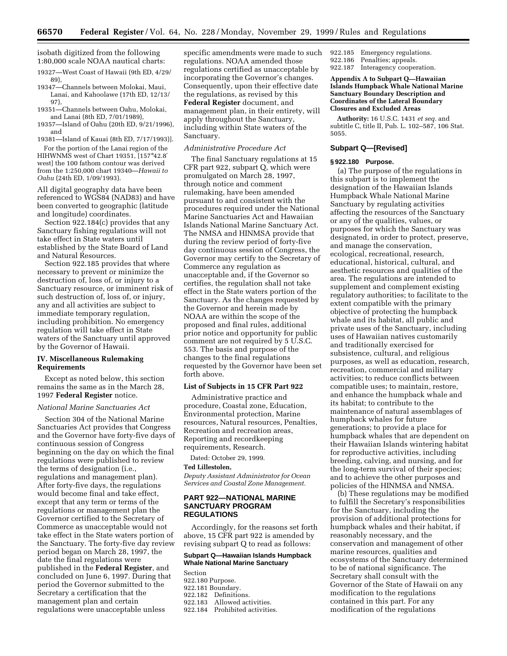isobath digitized from the following 1:80,000 scale NOAA nautical charts:

19327—West Coast of Hawaii (9th ED, 4/29/ 89),

19347—Channels between Molokai, Maui, Lanai, and Kahoolawe (17th ED, 12/13/ 97),

19351—Channels between Oahu, Molokai, and Lanai (8th ED, 7/01/1989),

19357—Island of Oahu (20th ED, 9/21/1996), and

19381—Island of Kauai (8th ED, 7/17/1993)].

For the portion of the Lanai region of the HIHWNMS west of Chart 19351, [157°42.8′ west] the 100 fathom contour was derived from the 1:250,000 chart 19340—*Hawaii to Oahu* (24th ED, 1/09/1993).

All digital geography data have been referenced to WGS84 (NAD83) and have been converted to geographic (latitude and longitude) coordinates.

Section 922.184(c) provides that any Sanctuary fishing regulations will not take effect in State waters until established by the State Board of Land and Natural Resources.

Section 922.185 provides that where necessary to prevent or minimize the destruction of, loss of, or injury to a Sanctuary resource, or imminent risk of such destruction of, loss of, or injury, any and all activities are subject to immediate temporary regulation, including prohibition. No emergency regulation will take effect in State waters of the Sanctuary until approved by the Governor of Hawaii.

### **IV. Miscellaneous Rulemaking Requirements**

Except as noted below, this section remains the same as in the March 28, 1997 **Federal Register** notice.

#### *National Marine Sanctuaries Act*

Section 304 of the National Marine Sanctuaries Act provides that Congress and the Governor have forty-five days of continuous session of Congress beginning on the day on which the final regulations were published to review the terms of designation (i.e., regulations and management plan). After forty-five days, the regulations would become final and take effect, except that any term or terms of the regulations or management plan the Governor certified to the Secretary of Commerce as unacceptable would not take effect in the State waters portion of the Sanctuary. The forty-five day review period began on March 28, 1997, the date the final regulations were published in the **Federal Register**, and concluded on June 6, 1997. During that period the Governor submitted to the Secretary a certification that the management plan and certain regulations were unacceptable unless

specific amendments were made to such regulations. NOAA amended those regulations certified as unacceptable by incorporating the Governor's changes. Consequently, upon their effective date the regulations, as revised by this **Federal Register** document, and management plan, in their entirety, will apply throughout the Sanctuary, including within State waters of the Sanctuary.

#### *Administrative Procedure Act*

The final Sanctuary regulations at 15 CFR part 922, subpart Q, which were promulgated on March 28, 1997, through notice and comment rulemaking, have been amended pursuant to and consistent with the procedures required under the National Marine Sanctuaries Act and Hawaiian Islands National Marine Sanctuary Act. The NMSA and HINMSA provide that during the review period of forty-five day continuous session of Congress, the Governor may certify to the Secretary of Commerce any regulation as unacceptable and, if the Governor so certifies, the regulation shall not take effect in the State waters portion of the Sanctuary. As the changes requested by the Governor and herein made by NOAA are within the scope of the proposed and final rules, additional prior notice and opportunity for public comment are not required by 5 U.S.C. 553. The basis and purpose of the changes to the final regulations requested by the Governor have been set forth above.

#### **List of Subjects in 15 CFR Part 922**

Administrative practice and procedure, Coastal zone, Education, Environmental protection, Marine resources, Natural resources, Penalties, Recreation and recreation areas, Reporting and recordkeeping requirements, Research.

Dated: October 29, 1999.

#### **Ted Lillestolen,**

*Deputy Assistant Administrator for Ocean Services and Coastal Zone Management.*

### **PART 922—NATIONAL MARINE SANCTUARY PROGRAM REGULATIONS**

Accordingly, for the reasons set forth above, 15 CFR part 922 is amended by revising subpart Q to read as follows:

## **Subpart Q—Hawaiian Islands Humpback Whale National Marine Sanctuary**

Section 922.180 Purpose. 922.181 Boundary. 922.182 Definitions. 922.183 Allowed activities. 922.184 Prohibited activities. 922.185 Emergency regulations. 922.186 Penalties; appeals.<br>922.187 Interagency cooper

Interagency cooperation.

#### **Appendix A to Subpart Q—Hawaiian Islands Humpback Whale National Marine Sanctuary Boundary Description and Coordinates of the Lateral Boundary Closures and Excluded Areas**

**Authority:** 16 U.S.C. 1431 *et seq.* and subtitle C, title II, Pub. L. 102–587, 106 Stat. 5055.

### **Subpart Q—[Revised]**

#### **§ 922.180 Purpose.**

(a) The purpose of the regulations in this subpart is to implement the designation of the Hawaiian Islands Humpback Whale National Marine Sanctuary by regulating activities affecting the resources of the Sanctuary or any of the qualities, values, or purposes for which the Sanctuary was designated, in order to protect, preserve, and manage the conservation, ecological, recreational, research, educational, historical, cultural, and aesthetic resources and qualities of the area. The regulations are intended to supplement and complement existing regulatory authorities; to facilitate to the extent compatible with the primary objective of protecting the humpback whale and its habitat, all public and private uses of the Sanctuary, including uses of Hawaiian natives customarily and traditionally exercised for subsistence, cultural, and religious purposes, as well as education, research, recreation, commercial and military activities; to reduce conflicts between compatible uses; to maintain, restore, and enhance the humpback whale and its habitat; to contribute to the maintenance of natural assemblages of humpback whales for future generations; to provide a place for humpback whales that are dependent on their Hawaiian Islands wintering habitat for reproductive activities, including breeding, calving, and nursing, and for the long-term survival of their species; and to achieve the other purposes and policies of the HINMSA and NMSA.

(b) These regulations may be modified to fulfill the Secretary's responsibilities for the Sanctuary, including the provision of additional protections for humpback whales and their habitat, if reasonably necessary, and the conservation and management of other marine resources, qualities and ecosystems of the Sanctuary determined to be of national significance. The Secretary shall consult with the Governor of the State of Hawaii on any modification to the regulations contained in this part. For any modification of the regulations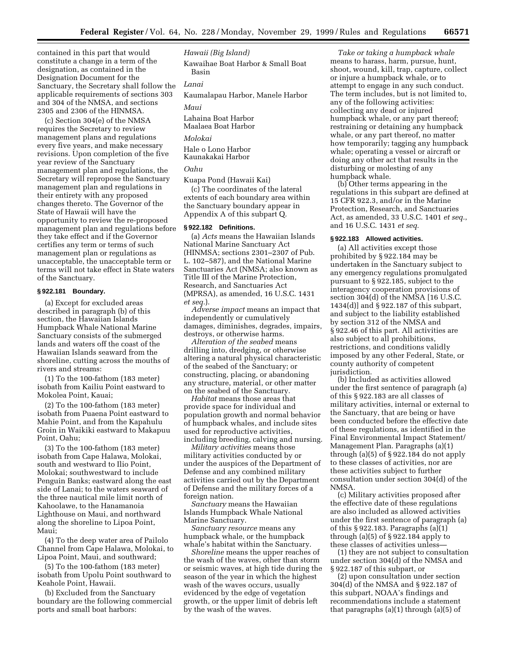contained in this part that would constitute a change in a term of the designation, as contained in the Designation Document for the Sanctuary, the Secretary shall follow the applicable requirements of sections 303 and 304 of the NMSA, and sections 2305 and 2306 of the HINMSA.

(c) Section 304(e) of the NMSA requires the Secretary to review management plans and regulations every five years, and make necessary revisions. Upon completion of the five year review of the Sanctuary management plan and regulations, the Secretary will repropose the Sanctuary management plan and regulations in their entirety with any proposed changes thereto. The Governor of the State of Hawaii will have the opportunity to review the re-proposed management plan and regulations before they take effect and if the Governor certifies any term or terms of such management plan or regulations as unacceptable, the unacceptable term or terms will not take effect in State waters of the Sanctuary.

#### **§ 922.181 Boundary.**

(a) Except for excluded areas described in paragraph (b) of this section, the Hawaiian Islands Humpback Whale National Marine Sanctuary consists of the submerged lands and waters off the coast of the Hawaiian Islands seaward from the shoreline, cutting across the mouths of rivers and streams:

(1) To the 100-fathom (183 meter) isobath from Kailiu Point eastward to Mokolea Point, Kauai;

(2) To the 100-fathom (183 meter) isobath from Puaena Point eastward to Mahie Point, and from the Kapahulu Groin in Waikiki eastward to Makapuu Point, Oahu;

(3) To the 100-fathom (183 meter) isobath from Cape Halawa, Molokai, south and westward to Ilio Point, Molokai; southwestward to include Penguin Banks; eastward along the east side of Lanai; to the waters seaward of the three nautical mile limit north of Kahoolawe, to the Hanamanoia Lighthouse on Maui, and northward along the shoreline to Lipoa Point, Maui;

(4) To the deep water area of Pailolo Channel from Cape Halawa, Molokai, to Lipoa Point, Maui, and southward;

(5) To the 100-fathom (183 meter) isobath from Upolu Point southward to Keahole Point, Hawaii.

(b) Excluded from the Sanctuary boundary are the following commercial ports and small boat harbors:

*Hawaii (Big Island)* Kawaihae Boat Harbor & Small Boat Basin *Lanai* Kaumalapau Harbor, Manele Harbor *Maui*

Lahaina Boat Harbor Maalaea Boat Harbor

*Molokai*

Hale o Lono Harbor Kaunakakai Harbor

## *Oahu*

Kuapa Pond (Hawaii Kai)

(c) The coordinates of the lateral extents of each boundary area within the Sanctuary boundary appear in Appendix A of this subpart Q.

### **§ 922.182 Definitions.**

(a) *Acts* means the Hawaiian Islands National Marine Sanctuary Act (HINMSA; sections 2301–2307 of Pub. L. 102–587), and the National Marine Sanctuaries Act (NMSA; also known as Title III of the Marine Protection, Research, and Sanctuaries Act (MPRSA), as amended, 16 U.S.C. 1431 *et seq.*).

*Adverse impact* means an impact that independently or cumulatively damages, diminishes, degrades, impairs, destroys, or otherwise harms.

*Alteration of the seabed* means drilling into, dredging, or otherwise altering a natural physical characteristic of the seabed of the Sanctuary; or constructing, placing, or abandoning any structure, material, or other matter on the seabed of the Sanctuary.

*Habitat* means those areas that provide space for individual and population growth and normal behavior of humpback whales, and include sites used for reproductive activities, including breeding, calving and nursing.

*Military activities* means those military activities conducted by or under the auspices of the Department of Defense and any combined military activities carried out by the Department of Defense and the military forces of a foreign nation.

*Sanctuary* means the Hawaiian Islands Humpback Whale National Marine Sanctuary.

*Sanctuary resource* means any humpback whale, or the humpback whale's habitat within the Sanctuary.

*Shoreline* means the upper reaches of the wash of the waves, other than storm or seismic waves, at high tide during the season of the year in which the highest wash of the waves occurs, usually evidenced by the edge of vegetation growth, or the upper limit of debris left by the wash of the waves.

*Take or taking a humpback whale* means to harass, harm, pursue, hunt, shoot, wound, kill, trap, capture, collect or injure a humpback whale, or to attempt to engage in any such conduct. The term includes, but is not limited to, any of the following activities: collecting any dead or injured humpback whale, or any part thereof; restraining or detaining any humpback whale, or any part thereof, no matter how temporarily; tagging any humpback whale; operating a vessel or aircraft or doing any other act that results in the disturbing or molesting of any humpback whale.

(b) Other terms appearing in the regulations in this subpart are defined at 15 CFR 922.3, and/or in the Marine Protection, Research, and Sanctuaries Act, as amended, 33 U.S.C. 1401 *et seq.*, and 16 U.S.C. 1431 *et seq.*

### **§ 922.183 Allowed activities.**

(a) All activities except those prohibited by § 922.184 may be undertaken in the Sanctuary subject to any emergency regulations promulgated pursuant to § 922.185, subject to the interagency cooperation provisions of section 304(d) of the NMSA [16 U.S.C. 1434(d)] and § 922.187 of this subpart, and subject to the liability established by section 312 of the NMSA and § 922.46 of this part. All activities are also subject to all prohibitions, restrictions, and conditions validly imposed by any other Federal, State, or county authority of competent jurisdiction.

(b) Included as activities allowed under the first sentence of paragraph (a) of this § 922.183 are all classes of military activities, internal or external to the Sanctuary, that are being or have been conducted before the effective date of these regulations, as identified in the Final Environmental Impact Statement/ Management Plan. Paragraphs (a)(1) through (a)(5) of § 922.184 do not apply to these classes of activities, nor are these activities subject to further consultation under section 304(d) of the NMSA.

(c) Military activities proposed after the effective date of these regulations are also included as allowed activities under the first sentence of paragraph (a) of this § 922.183. Paragraphs (a)(1) through (a)(5) of § 922.184 apply to these classes of activities unless—

(1) they are not subject to consultation under section 304(d) of the NMSA and § 922.187 of this subpart, or

(2) upon consultation under section 304(d) of the NMSA and § 922.187 of this subpart, NOAA's findings and recommendations include a statement that paragraphs (a)(1) through (a)(5) of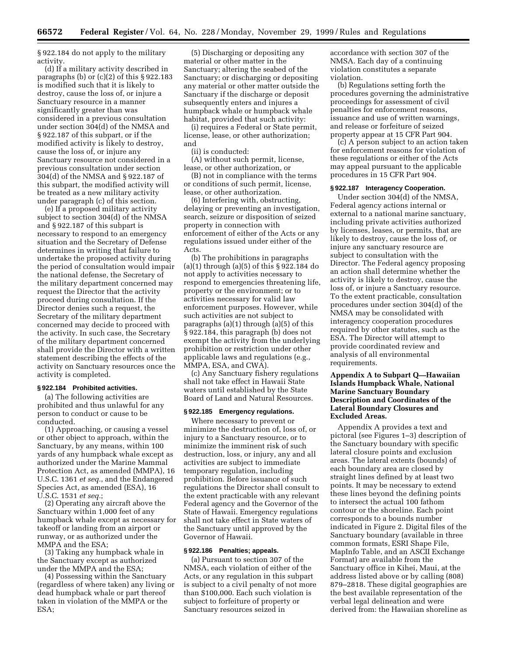§ 922.184 do not apply to the military activity.

(d) If a military activity described in paragraphs (b) or  $(c)(2)$  of this § 922.183 is modified such that it is likely to destroy, cause the loss of, or injure a Sanctuary resource in a manner significantly greater than was considered in a previous consultation under section 304(d) of the NMSA and § 922.187 of this subpart, or if the modified activity is likely to destroy, cause the loss of, or injure any Sanctuary resource not considered in a previous consultation under section 304(d) of the NMSA and § 922.187 of this subpart, the modified activity will be treated as a new military activity under paragraph (c) of this section.

(e) If a proposed military activity subject to section 304(d) of the NMSA and § 922.187 of this subpart is necessary to respond to an emergency situation and the Secretary of Defense determines in writing that failure to undertake the proposed activity during the period of consultation would impair the national defense, the Secretary of the military department concerned may request the Director that the activity proceed during consultation. If the Director denies such a request, the Secretary of the military department concerned may decide to proceed with the activity. In such case, the Secretary of the military department concerned shall provide the Director with a written statement describing the effects of the activity on Sanctuary resources once the activity is completed.

### **§ 922.184 Prohibited activities.**

(a) The following activities are prohibited and thus unlawful for any person to conduct or cause to be conducted.

(1) Approaching, or causing a vessel or other object to approach, within the Sanctuary, by any means, within 100 yards of any humpback whale except as authorized under the Marine Mammal Protection Act, as amended (MMPA), 16 U.S.C. 1361 *et seq.*, and the Endangered Species Act, as amended (ESA), 16 U.S.C. 1531 *et seq.*;

(2) Operating any aircraft above the Sanctuary within 1,000 feet of any humpback whale except as necessary for takeoff or landing from an airport or runway, or as authorized under the MMPA and the ESA;

(3) Taking any humpback whale in the Sanctuary except as authorized under the MMPA and the ESA;

(4) Possessing within the Sanctuary (regardless of where taken) any living or dead humpback whale or part thereof taken in violation of the MMPA or the ESA;

(5) Discharging or depositing any material or other matter in the Sanctuary; altering the seabed of the Sanctuary; or discharging or depositing any material or other matter outside the Sanctuary if the discharge or deposit subsequently enters and injures a humpback whale or humpback whale habitat, provided that such activity:

(i) requires a Federal or State permit, license, lease, or other authorization; and

(ii) is conducted:

(A) without such permit, license, lease, or other authorization, or

(B) not in compliance with the terms or conditions of such permit, license, lease, or other authorization.

(6) Interfering with, obstructing, delaying or preventing an investigation, search, seizure or disposition of seized property in connection with enforcement of either of the Acts or any regulations issued under either of the Acts.

(b) The prohibitions in paragraphs (a)(1) through (a)(5) of this § 922.184 do not apply to activities necessary to respond to emergencies threatening life, property or the environment; or to activities necessary for valid law enforcement purposes. However, while such activities are not subject to paragraphs (a)(1) through (a)(5) of this § 922.184, this paragraph (b) does not exempt the activity from the underlying prohibition or restriction under other applicable laws and regulations (e.g., MMPA, ESA, and CWA).

(c) Any Sanctuary fishery regulations shall not take effect in Hawaii State waters until established by the State Board of Land and Natural Resources.

### **§ 922.185 Emergency regulations.**

Where necessary to prevent or minimize the destruction of, loss of, or injury to a Sanctuary resource, or to minimize the imminent risk of such destruction, loss, or injury, any and all activities are subject to immediate temporary regulation, including prohibition. Before issuance of such regulations the Director shall consult to the extent practicable with any relevant Federal agency and the Governor of the State of Hawaii. Emergency regulations shall not take effect in State waters of the Sanctuary until approved by the Governor of Hawaii.

#### **§ 922.186 Penalties; appeals.**

(a) Pursuant to section 307 of the NMSA, each violation of either of the Acts, or any regulation in this subpart is subject to a civil penalty of not more than \$100,000. Each such violation is subject to forfeiture of property or Sanctuary resources seized in

accordance with section 307 of the NMSA. Each day of a continuing violation constitutes a separate violation.

(b) Regulations setting forth the procedures governing the administrative proceedings for assessment of civil penalties for enforcement reasons, issuance and use of written warnings, and release or forfeiture of seized property appear at 15 CFR Part 904.

(c) A person subject to an action taken for enforcement reasons for violation of these regulations or either of the Acts may appeal pursuant to the applicable procedures in 15 CFR Part 904.

### **§ 922.187 Interagency Cooperation.**

Under section 304(d) of the NMSA, Federal agency actions internal or external to a national marine sanctuary, including private activities authorized by licenses, leases, or permits, that are likely to destroy, cause the loss of, or injure any sanctuary resource are subject to consultation with the Director. The Federal agency proposing an action shall determine whether the activity is likely to destroy, cause the loss of, or injure a Sanctuary resource. To the extent practicable, consultation procedures under section 304(d) of the NMSA may be consolidated with interagency cooperation procedures required by other statutes, such as the ESA. The Director will attempt to provide coordinated review and analysis of all environmental requirements.

## **Appendix A to Subpart Q—Hawaiian Islands Humpback Whale, National Marine Sanctuary Boundary Description and Coordinates of the Lateral Boundary Closures and Excluded Areas.**

Appendix A provides a text and pictoral (see Figures 1–3) description of the Sanctuary boundary with specific lateral closure points and exclusion areas. The lateral extents (bounds) of each boundary area are closed by straight lines defined by at least two points. It may be necessary to extend these lines beyond the defining points to intersect the actual 100 fathom contour or the shoreline. Each point corresponds to a bounds number indicated in Figure 2. Digital files of the Sanctuary boundary (available in three common formats, ESRI Shape File, MapInfo Table, and an ASCII Exchange Format) are available from the Sanctuary office in Kihei, Maui, at the address listed above or by calling (808) 879–2818. These digital geographies are the best available representation of the verbal legal delineation and were derived from: the Hawaiian shoreline as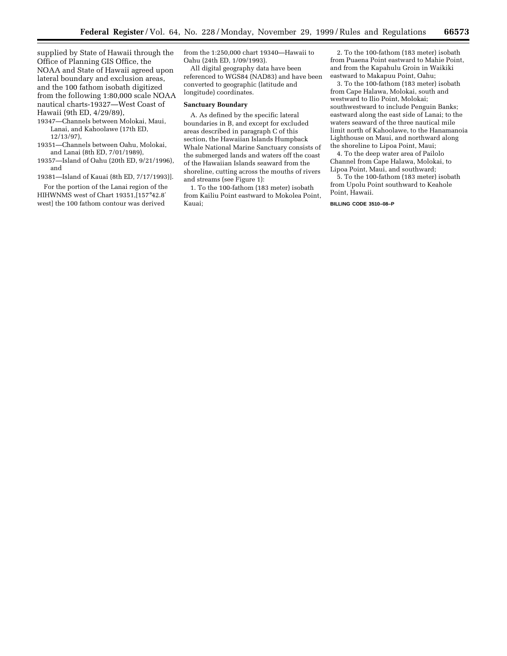supplied by State of Hawaii through the Office of Planning GIS Office, the NOAA and State of Hawaii agreed upon lateral boundary and exclusion areas, and the 100 fathom isobath digitized from the following 1:80,000 scale NOAA nautical charts-19327—West Coast of Hawaii (9th ED, 4/29/89),

- 19347—Channels between Molokai, Maui, Lanai, and Kahoolawe (17th ED, 12/13/97),
- 19351—Channels between Oahu, Molokai, and Lanai (8th ED, 7/01/1989),
- 19357—Island of Oahu (20th ED, 9/21/1996), and
- 19381—Island of Kauai (8th ED, 7/17/1993)].

For the portion of the Lanai region of the HIHWNMS west of Chart 19351,[157°42.8′ west] the 100 fathom contour was derived

from the 1:250,000 chart 19340—Hawaii to Oahu (24th ED, 1/09/1993).

All digital geography data have been referenced to WGS84 (NAD83) and have been converted to geographic (latitude and longitude) coordinates.

### **Sanctuary Boundary**

A. As defined by the specific lateral boundaries in B, and except for excluded areas described in paragraph C of this section, the Hawaiian Islands Humpback Whale National Marine Sanctuary consists of the submerged lands and waters off the coast of the Hawaiian Islands seaward from the shoreline, cutting across the mouths of rivers and streams (see Figure 1):

1. To the 100-fathom (183 meter) isobath from Kailiu Point eastward to Mokolea Point, Kauai;

2. To the 100-fathom (183 meter) isobath from Puaena Point eastward to Mahie Point, and from the Kapahulu Groin in Waikiki eastward to Makapuu Point, Oahu;

3. To the 100-fathom (183 meter) isobath from Cape Halawa, Molokai, south and westward to Ilio Point, Molokai; southwestward to include Penguin Banks; eastward along the east side of Lanai; to the waters seaward of the three nautical mile limit north of Kahoolawe, to the Hanamanoia Lighthouse on Maui, and northward along the shoreline to Lipoa Point, Maui;

4. To the deep water area of Pailolo Channel from Cape Halawa, Molokai, to Lipoa Point, Maui, and southward;

5. To the 100-fathom (183 meter) isobath from Upolu Point southward to Keahole Point, Hawaii.

#### **BILLING CODE 3510–08–P**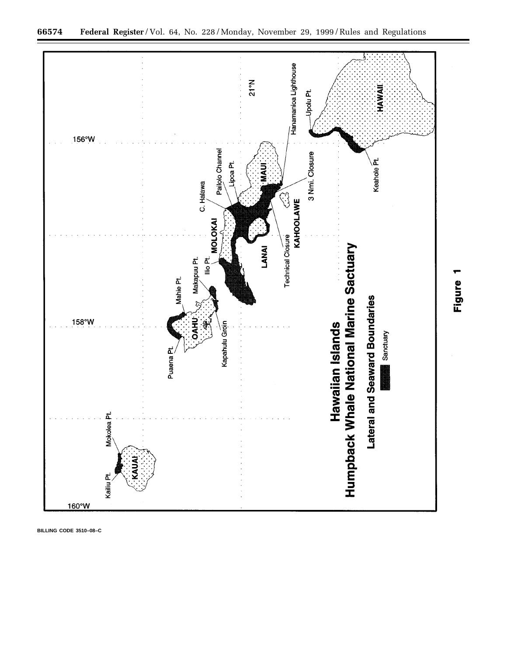

**66574 Federal Register** / Vol. 64, No. 228 / Monday, November 29, 1999 / Rules and Regulations

**BILLING CODE 3510–08–C**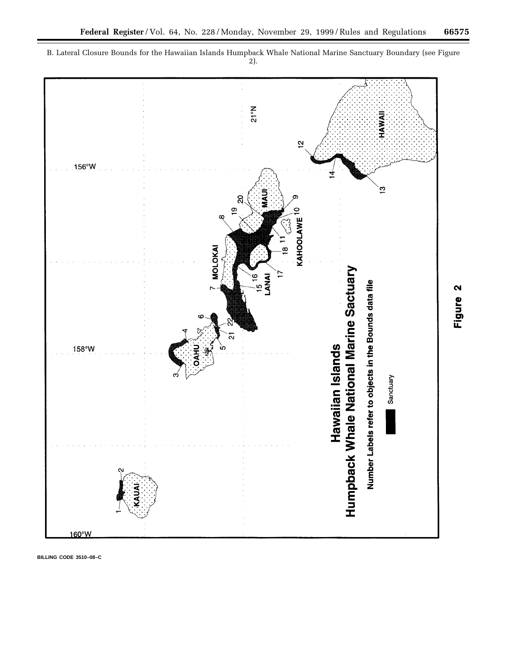



Figure 2

**BILLING CODE 3510–08–C**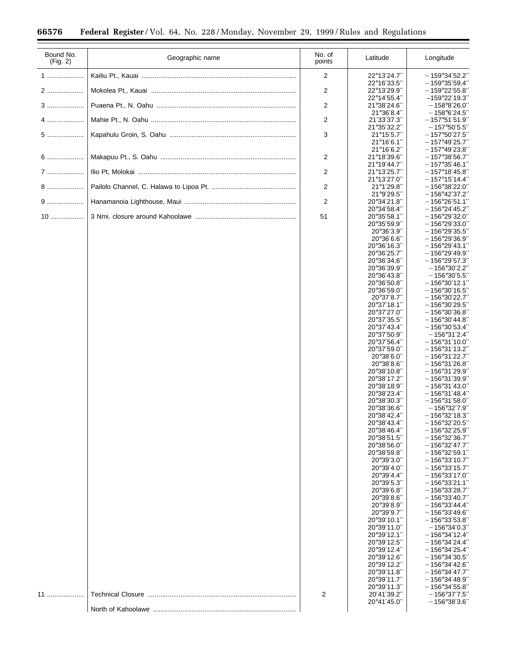$\equiv$ 

| Bound No.<br>(Fig. 2) | Geographic name | No. of<br>points        | Latitude                            | Longitude                                                                                    |
|-----------------------|-----------------|-------------------------|-------------------------------------|----------------------------------------------------------------------------------------------|
| 1                     |                 | 2                       | 22°13'24.7"                         | $-159^{\circ}34'52.2''$                                                                      |
|                       |                 |                         | 22°16'33.5"                         | $-159^{\circ}35'59.4''$                                                                      |
| 2                     |                 | $\overline{\mathbf{c}}$ | 22°13'29.9"<br>22°14'55.4"          | $-159^{\circ}22'55.8''$<br>$-159^{\circ}22'19.3''$                                           |
|                       |                 | $\overline{c}$          | 21°38'24.6"                         | $-158^{\circ}8'26.0''$                                                                       |
| $4$                   |                 |                         | 21°36'8.4"                          | $-158^{\circ}6'24.5''$                                                                       |
|                       |                 | $\overline{\mathbf{c}}$ | 21'33'37.3"<br>21°35'32.2"          | $-157^{\circ}51'51.9''$<br>$-157^{\circ}50'5.5''$                                            |
| $5$                   |                 | 3                       | 21°15'5.7"                          | $-157^{\circ}50^{\prime}27.5^{\prime\prime}$                                                 |
|                       |                 |                         | 21°16'6.1"<br>21°16'6.2"            | $-157^{\circ}49^{\prime}25.7^{\prime\prime}$<br>$-157^{\circ}49^{\prime}23.8^{\prime\prime}$ |
| 6                     |                 | $\overline{c}$          | 21°18'39.6"                         | $-157^{\circ}38'56.7''$                                                                      |
|                       |                 |                         | 21°19'44.7"                         | $-157^{\circ}35'46.1''$                                                                      |
|                       |                 | $\overline{c}$          | 21°13'25.7"<br>21°13'27.0"          | $-157^{\circ}18'45.8''$<br>$-157^\circ 15' 14.4''$                                           |
| 8                     |                 | $\overline{c}$          | 21°1'29.8"                          | $-156^{\circ}38^{\prime}22.0^{\prime\prime}$                                                 |
| $9$                   |                 | $\overline{c}$          | 21°9'29.5"<br>20°34'21.8"           | $-156^{\circ}42^{\prime}37.2^{\prime\prime}$<br>$-156^{\circ}26'51.1''$                      |
|                       |                 |                         | 20°34'58.4"                         | $-156^{\circ}24'45.2''$                                                                      |
| $10$                  |                 | 51                      | 20°35'58.1"                         | $-156^{\circ}29^{\prime}32.0^{\prime\prime}$                                                 |
|                       |                 |                         | 20°35'59.9"<br>$20^{\circ}36'3.9''$ | $-156^{\circ}29'33.0''$<br>$-156^{\circ}29'35.5''$                                           |
|                       |                 |                         | 20°36'6.6"                          | $-156^{\circ}29'36.9''$                                                                      |
|                       |                 |                         | 20°36'16.3"<br>20°36'25.7"          | $-156^{\circ}29'43.1''$<br>$-156^{\circ}29^{\prime}49.9^{\prime\prime}$                      |
|                       |                 |                         | 20°36'34.6"                         | $-156^{\circ}29'57.3''$                                                                      |
|                       |                 |                         | 20°36'39.9"                         | $-156^{\circ}30^{\prime}2.2^{\prime\prime}$                                                  |
|                       |                 |                         | 20°36'43.8"<br>20°36'50.8"          | $-156^{\circ}30'5.5''$<br>$-156^{\circ}30'12.1''$                                            |
|                       |                 |                         | 20°36'59.0"                         | $-156^{\circ}30^{\prime}16.5^{\prime\prime}$                                                 |
|                       |                 |                         | 20°37'8.7"<br>20°37'18.1"           | $-156^{\circ}30^{\prime}22.7^{\prime\prime}$<br>$-156^{\circ}30^{\prime}29.5^{\prime\prime}$ |
|                       |                 |                         | 20°37'27.0"                         | $-156^{\circ}30^{\prime}36.8^{\prime\prime}$                                                 |
|                       |                 |                         | 20°37'35.5"                         | $-156^{\circ}30'44.8''$                                                                      |
|                       |                 |                         | 20°37'43.4"<br>20°37'50.9"          | $-156^{\circ}30^{\prime}53.4^{\prime\prime}$<br>$-156^{\circ}31^{\prime}2.4^{\prime\prime}$  |
|                       |                 |                         | 20°37'56.4"                         | $-156^{\circ}31'10.0''$                                                                      |
|                       |                 |                         | 20°37'59.0"<br>20°38'6.0"           | $-156^{\circ}31'13.2''$<br>$-156^{\circ}31^{\prime}22.7^{\prime\prime}$                      |
|                       |                 |                         | 20°38'8.6"                          | $-156^\circ31^\prime26.8^{\prime\prime}$                                                     |
|                       |                 |                         | 20°38'10.8"                         | $-156^{\circ}31'29.9''$                                                                      |
|                       |                 |                         | 20°38'17.2"<br>20°38'18.9"          | $-156^{\circ}31^{\prime}39.9^{\prime\prime}$<br>$-156^{\circ}31'43.0''$                      |
|                       |                 |                         | 20°38'23.4"                         | $-156^{\circ}31'48.4''$                                                                      |
|                       |                 |                         | 20°38'30.3"<br>20°38'36.6"          | $-156^{\circ}31'58.0''$<br>$-156^{\circ}32'7.9''$                                            |
|                       |                 |                         | 20°38'42.4"                         | $-156^{\circ}32'18.3''$                                                                      |
|                       |                 |                         | 20°38'43.4"                         | $-156^{\circ}32^{\prime}20.5^{\prime\prime}$                                                 |
|                       |                 |                         | 20°38'46.4"<br>20°38'51.5"          | $-156^{\circ}32^{\prime}25.9^{\prime\prime}$<br>$-156^{\circ}32'36.7''$                      |
|                       |                 |                         | 20°38'56.0"                         | $-156^{\circ}32'47.7''$                                                                      |
|                       |                 |                         | 20°38'59.8"<br>20°39'3.0"           | $-156^{\circ}32'59.1''$<br>$-156^{\circ}33'10.7''$                                           |
|                       |                 |                         | 20°39'4.0"                          | $-156^{\circ}33'15.7''$                                                                      |
|                       |                 |                         | 20°39'4.4"                          | $-156^{\circ}33'17.0''$                                                                      |
|                       |                 |                         | 20°39'5.3"<br>20°39'6.8"            | $-156^{\circ}33'21.1''$<br>$-156^{\circ}33'28.7''$                                           |
|                       |                 |                         | 20°39'8.6"                          | $-156^{\circ}33'40.7''$                                                                      |
|                       |                 |                         | $20^{\circ}39'8.9''$<br>20°39'9.7"  | $-156^{\circ}33'44.4''$<br>$-156^{\circ}33'49.6''$                                           |
|                       |                 |                         | 20°39'10.1"                         | $-156^{\circ}33'53.8''$                                                                      |
|                       |                 |                         | 20°39'11.0"<br>20°39'12.1"          | $-156^{\circ}34'0.3''$                                                                       |
|                       |                 |                         | 20°39'12.5"                         | $-156^{\circ}34'12.4''$<br>$-156^{\circ}34^{\prime}24.4^{\prime\prime}$                      |
|                       |                 |                         | 20°39'12.4"                         | $-156^{\circ}34^{\prime}25.4^{\prime\prime}$                                                 |
|                       |                 |                         | 20°39'12.6"<br>20°39'12.2"          | $-156^{\circ}34'30.5''$<br>$-156^{\circ}34'42.6''$                                           |
|                       |                 |                         | 20°39'11.8"                         | $-156^{\circ}34'47.7''$                                                                      |
|                       |                 |                         | 20°39'11.7"                         | $-156^{\circ}34'48.9''$                                                                      |
| 11                    |                 | 2                       | 20°39'11.3"<br>20'41'39.2"          | $-156^{\circ}34'55.8''$<br>$-156^{\circ}37'7.5''$                                            |
|                       |                 |                         | 20°41'45.0"                         | $-156^{\circ}38'3.6''$                                                                       |
|                       |                 |                         |                                     |                                                                                              |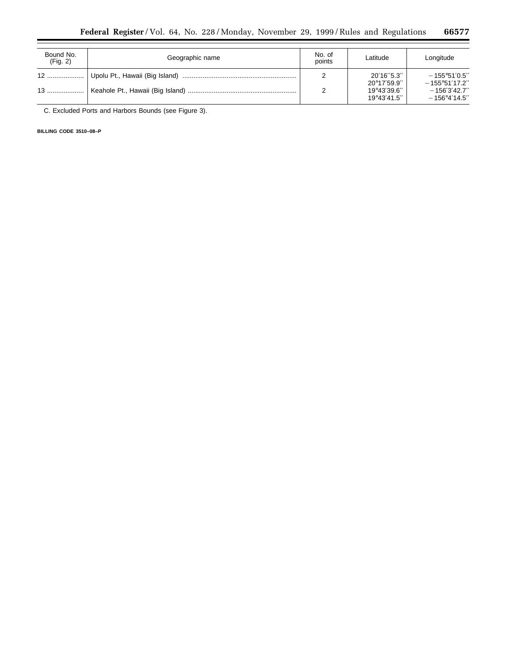| Bound No.<br>(Fig. 2) | Geographic name | No. of<br>points | Latitude                   | Longitude                                         |
|-----------------------|-----------------|------------------|----------------------------|---------------------------------------------------|
|                       |                 |                  | 20'16"5.3"<br>20°17'59.9"  | $-155^{\circ}51'0.5''$<br>$-155^{\circ}51'17.2''$ |
| $13$                  |                 |                  | 19°43'39.6"<br>19°43'41.5" | $-156'3'42.7''$<br>$-156^{\circ}4'14.5''$         |

C. Excluded Ports and Harbors Bounds (see Figure 3).

**BILLING CODE 3510–08–P**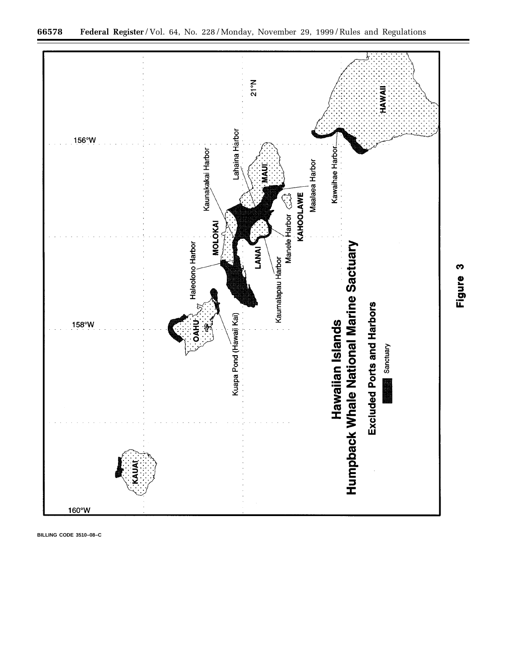

**BILLING CODE 3510–08–C**

Figure 3